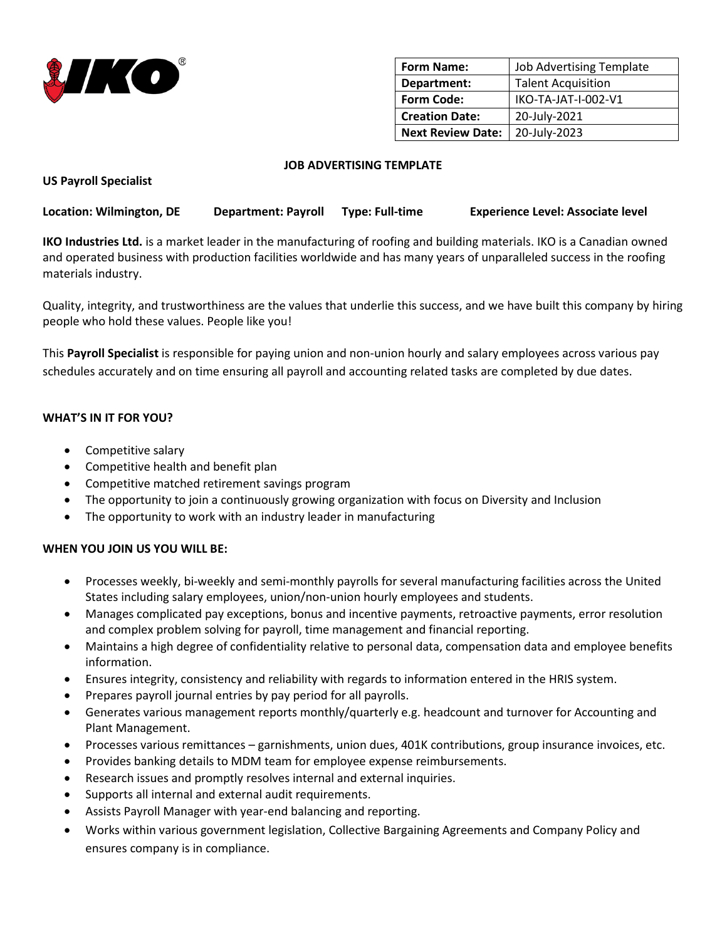

| <b>Form Name:</b>        | <b>Job Advertising Template</b> |
|--------------------------|---------------------------------|
| Department:              | <b>Talent Acquisition</b>       |
| <b>Form Code:</b>        | IKO-TA-JAT-I-002-V1             |
| <b>Creation Date:</b>    | 20-July-2021                    |
| <b>Next Review Date:</b> | 20-July-2023                    |

### **JOB ADVERTISING TEMPLATE**

**US Payroll Specialist**

**Location: Wilmington, DE Department: Payroll Type: Full-time Experience Level: Associate level**

**IKO Industries Ltd.** is a market leader in the manufacturing of roofing and building materials. IKO is a Canadian owned and operated business with production facilities worldwide and has many years of unparalleled success in the roofing materials industry.

Quality, integrity, and trustworthiness are the values that underlie this success, and we have built this company by hiring people who hold these values. People like you!

This **Payroll Specialist** is responsible for paying union and non-union hourly and salary employees across various pay schedules accurately and on time ensuring all payroll and accounting related tasks are completed by due dates.

# **WHAT'S IN IT FOR YOU?**

- Competitive salary
- Competitive health and benefit plan
- Competitive matched retirement savings program
- The opportunity to join a continuously growing organization with focus on Diversity and Inclusion
- The opportunity to work with an industry leader in manufacturing

# **WHEN YOU JOIN US YOU WILL BE:**

- Processes weekly, bi-weekly and semi-monthly payrolls for several manufacturing facilities across the United States including salary employees, union/non-union hourly employees and students.
- Manages complicated pay exceptions, bonus and incentive payments, retroactive payments, error resolution and complex problem solving for payroll, time management and financial reporting.
- Maintains a high degree of confidentiality relative to personal data, compensation data and employee benefits information.
- Ensures integrity, consistency and reliability with regards to information entered in the HRIS system.
- Prepares payroll journal entries by pay period for all payrolls.
- Generates various management reports monthly/quarterly e.g. headcount and turnover for Accounting and Plant Management.
- Processes various remittances garnishments, union dues, 401K contributions, group insurance invoices, etc.
- Provides banking details to MDM team for employee expense reimbursements.
- Research issues and promptly resolves internal and external inquiries.
- Supports all internal and external audit requirements.
- Assists Payroll Manager with year-end balancing and reporting.
- Works within various government legislation, Collective Bargaining Agreements and Company Policy and ensures company is in compliance.